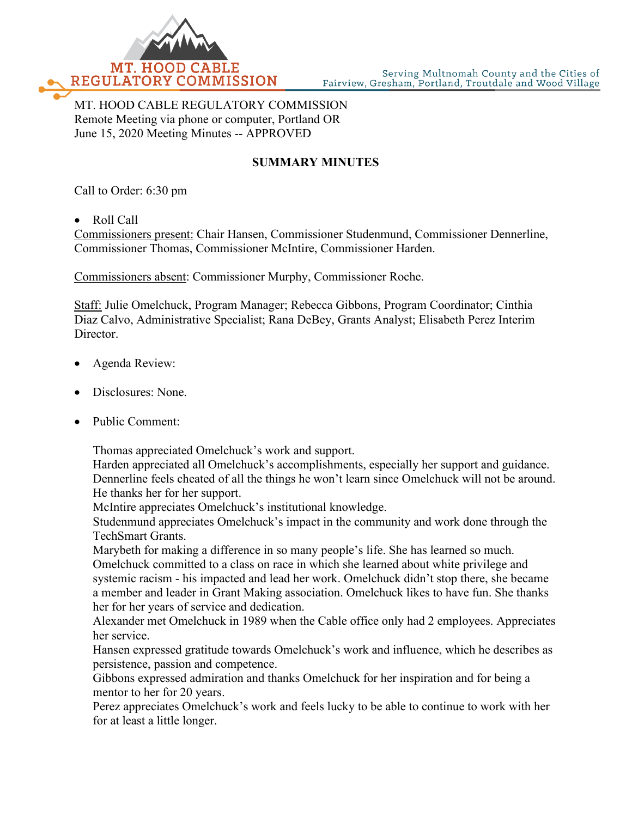

MT. HOOD CABLE REGULATORY COMMISSION Remote Meeting via phone or computer, Portland OR June 15, 2020 Meeting Minutes -- APPROVED

## **SUMMARY MINUTES**

Call to Order: 6:30 pm

• Roll Call

Commissioners present: Chair Hansen, Commissioner Studenmund, Commissioner Dennerline, Commissioner Thomas, Commissioner McIntire, Commissioner Harden.

Commissioners absent: Commissioner Murphy, Commissioner Roche.

Staff: Julie Omelchuck, Program Manager; Rebecca Gibbons, Program Coordinator; Cinthia Diaz Calvo, Administrative Specialist; Rana DeBey, Grants Analyst; Elisabeth Perez Interim Director.

- Agenda Review:
- Disclosures: None.
- Public Comment:

Thomas appreciated Omelchuck's work and support.

Harden appreciated all Omelchuck's accomplishments, especially her support and guidance. Dennerline feels cheated of all the things he won't learn since Omelchuck will not be around. He thanks her for her support.

McIntire appreciates Omelchuck's institutional knowledge.

Studenmund appreciates Omelchuck's impact in the community and work done through the TechSmart Grants.

Marybeth for making a difference in so many people's life. She has learned so much. Omelchuck committed to a class on race in which she learned about white privilege and systemic racism - his impacted and lead her work. Omelchuck didn't stop there, she became a member and leader in Grant Making association. Omelchuck likes to have fun. She thanks her for her years of service and dedication.

Alexander met Omelchuck in 1989 when the Cable office only had 2 employees. Appreciates her service.

Hansen expressed gratitude towards Omelchuck's work and influence, which he describes as persistence, passion and competence.

Gibbons expressed admiration and thanks Omelchuck for her inspiration and for being a mentor to her for 20 years.

Perez appreciates Omelchuck's work and feels lucky to be able to continue to work with her for at least a little longer.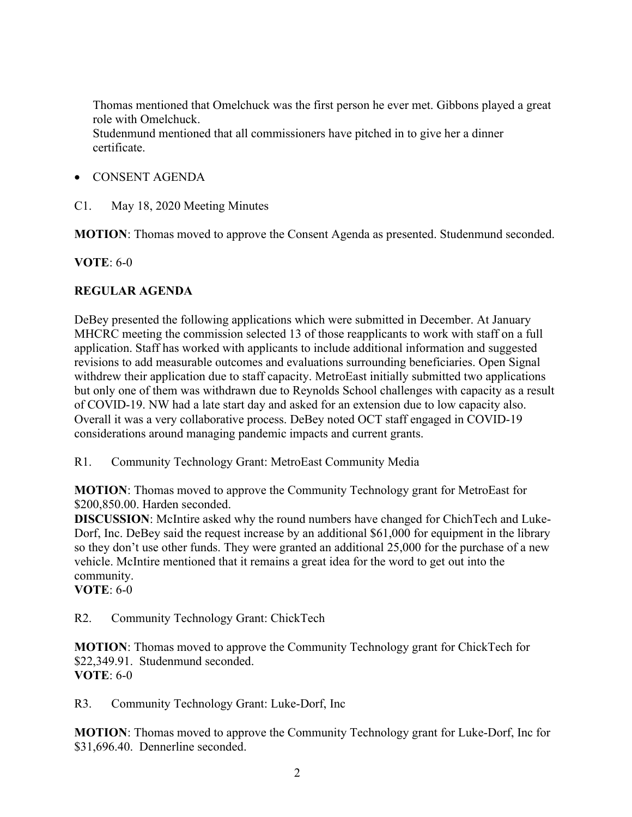Thomas mentioned that Omelchuck was the first person he ever met. Gibbons played a great role with Omelchuck. Studenmund mentioned that all commissioners have pitched in to give her a dinner certificate.

- CONSENT AGENDA
- C1. May 18, 2020 Meeting Minutes

**MOTION**: Thomas moved to approve the Consent Agenda as presented. Studenmund seconded.

**VOTE**: 6-0

## **REGULAR AGENDA**

DeBey presented the following applications which were submitted in December. At January MHCRC meeting the commission selected 13 of those reapplicants to work with staff on a full application. Staff has worked with applicants to include additional information and suggested revisions to add measurable outcomes and evaluations surrounding beneficiaries. Open Signal withdrew their application due to staff capacity. MetroEast initially submitted two applications but only one of them was withdrawn due to Reynolds School challenges with capacity as a result of COVID-19. NW had a late start day and asked for an extension due to low capacity also. Overall it was a very collaborative process. DeBey noted OCT staff engaged in COVID-19 considerations around managing pandemic impacts and current grants.

R1. Community Technology Grant: MetroEast Community Media

**MOTION**: Thomas moved to approve the Community Technology grant for MetroEast for \$200,850.00. Harden seconded.

**DISCUSSION**: McIntire asked why the round numbers have changed for ChichTech and Luke-Dorf, Inc. DeBey said the request increase by an additional \$61,000 for equipment in the library so they don't use other funds. They were granted an additional 25,000 for the purchase of a new vehicle. McIntire mentioned that it remains a great idea for the word to get out into the community.

**VOTE**: 6-0

R2. Community Technology Grant: ChickTech

**MOTION**: Thomas moved to approve the Community Technology grant for ChickTech for \$22,349.91. Studenmund seconded. **VOTE**: 6-0

R3. Community Technology Grant: Luke-Dorf, Inc

**MOTION**: Thomas moved to approve the Community Technology grant for Luke-Dorf, Inc for \$31,696.40. Dennerline seconded.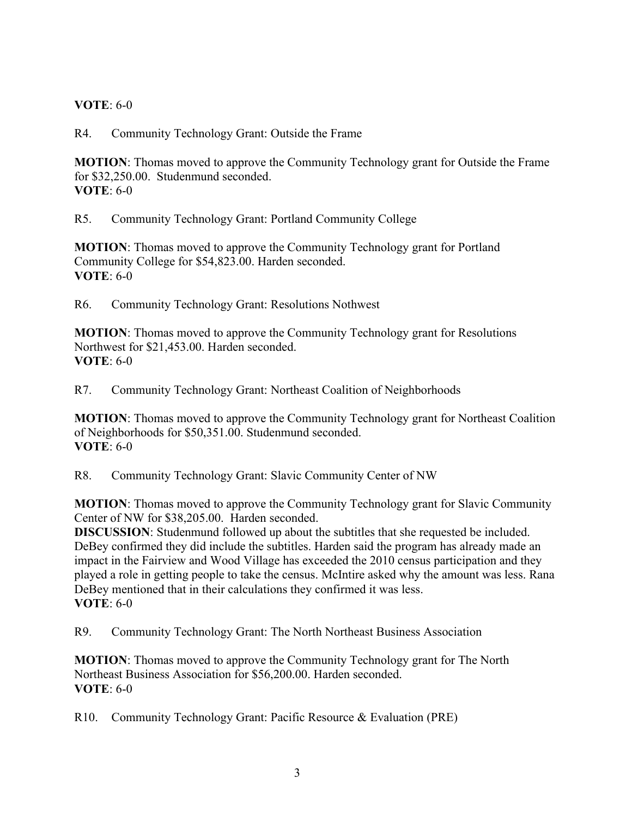## **VOTE**: 6-0

R4. Community Technology Grant: Outside the Frame

**MOTION**: Thomas moved to approve the Community Technology grant for Outside the Frame for \$32,250.00. Studenmund seconded. **VOTE**: 6-0

R5. Community Technology Grant: Portland Community College

**MOTION**: Thomas moved to approve the Community Technology grant for Portland Community College for \$54,823.00. Harden seconded. **VOTE**: 6-0

R6. Community Technology Grant: Resolutions Nothwest

**MOTION**: Thomas moved to approve the Community Technology grant for Resolutions Northwest for \$21,453.00. Harden seconded. **VOTE**: 6-0

R7. Community Technology Grant: Northeast Coalition of Neighborhoods

**MOTION**: Thomas moved to approve the Community Technology grant for Northeast Coalition of Neighborhoods for \$50,351.00. Studenmund seconded. **VOTE**: 6-0

R8. Community Technology Grant: Slavic Community Center of NW

**MOTION**: Thomas moved to approve the Community Technology grant for Slavic Community Center of NW for \$38,205.00. Harden seconded.

**DISCUSSION**: Studenmund followed up about the subtitles that she requested be included. DeBey confirmed they did include the subtitles. Harden said the program has already made an impact in the Fairview and Wood Village has exceeded the 2010 census participation and they played a role in getting people to take the census. McIntire asked why the amount was less. Rana DeBey mentioned that in their calculations they confirmed it was less. **VOTE**: 6-0

R9. Community Technology Grant: The North Northeast Business Association

**MOTION**: Thomas moved to approve the Community Technology grant for The North Northeast Business Association for \$56,200.00. Harden seconded. **VOTE**: 6-0

R10. Community Technology Grant: Pacific Resource & Evaluation (PRE)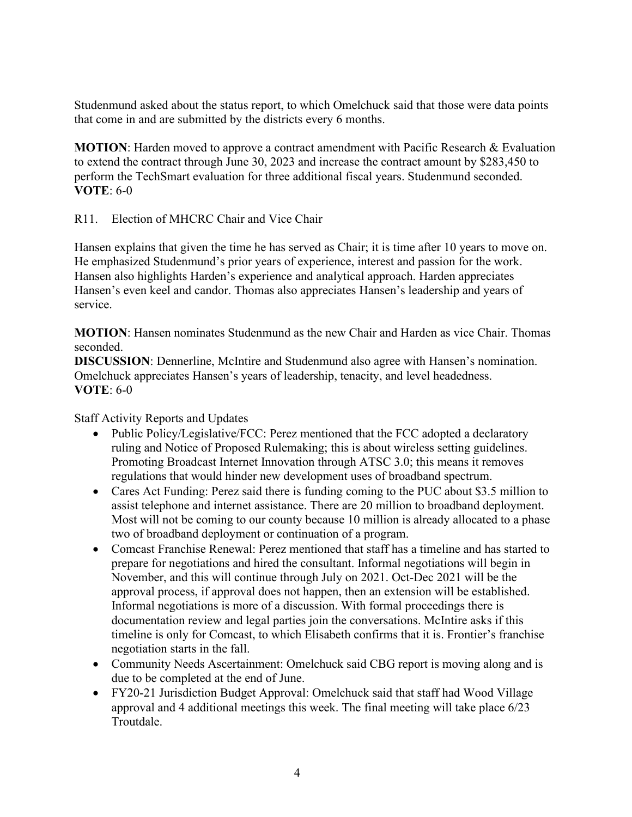Studenmund asked about the status report, to which Omelchuck said that those were data points that come in and are submitted by the districts every 6 months.

**MOTION**: Harden moved to approve a contract amendment with Pacific Research & Evaluation to extend the contract through June 30, 2023 and increase the contract amount by \$283,450 to perform the TechSmart evaluation for three additional fiscal years. Studenmund seconded. **VOTE**: 6-0

R11. Election of MHCRC Chair and Vice Chair

Hansen explains that given the time he has served as Chair; it is time after 10 years to move on. He emphasized Studenmund's prior years of experience, interest and passion for the work. Hansen also highlights Harden's experience and analytical approach. Harden appreciates Hansen's even keel and candor. Thomas also appreciates Hansen's leadership and years of service.

**MOTION**: Hansen nominates Studenmund as the new Chair and Harden as vice Chair. Thomas seconded.

**DISCUSSION**: Dennerline, McIntire and Studenmund also agree with Hansen's nomination. Omelchuck appreciates Hansen's years of leadership, tenacity, and level headedness. **VOTE**: 6-0

Staff Activity Reports and Updates

- Public Policy/Legislative/FCC: Perez mentioned that the FCC adopted a declaratory ruling and Notice of Proposed Rulemaking; this is about wireless setting guidelines. Promoting Broadcast Internet Innovation through ATSC 3.0; this means it removes regulations that would hinder new development uses of broadband spectrum.
- Cares Act Funding: Perez said there is funding coming to the PUC about \$3.5 million to assist telephone and internet assistance. There are 20 million to broadband deployment. Most will not be coming to our county because 10 million is already allocated to a phase two of broadband deployment or continuation of a program.
- Comcast Franchise Renewal: Perez mentioned that staff has a timeline and has started to prepare for negotiations and hired the consultant. Informal negotiations will begin in November, and this will continue through July on 2021. Oct-Dec 2021 will be the approval process, if approval does not happen, then an extension will be established. Informal negotiations is more of a discussion. With formal proceedings there is documentation review and legal parties join the conversations. McIntire asks if this timeline is only for Comcast, to which Elisabeth confirms that it is. Frontier's franchise negotiation starts in the fall.
- Community Needs Ascertainment: Omelchuck said CBG report is moving along and is due to be completed at the end of June.
- FY20-21 Jurisdiction Budget Approval: Omelchuck said that staff had Wood Village approval and 4 additional meetings this week. The final meeting will take place 6/23 Troutdale.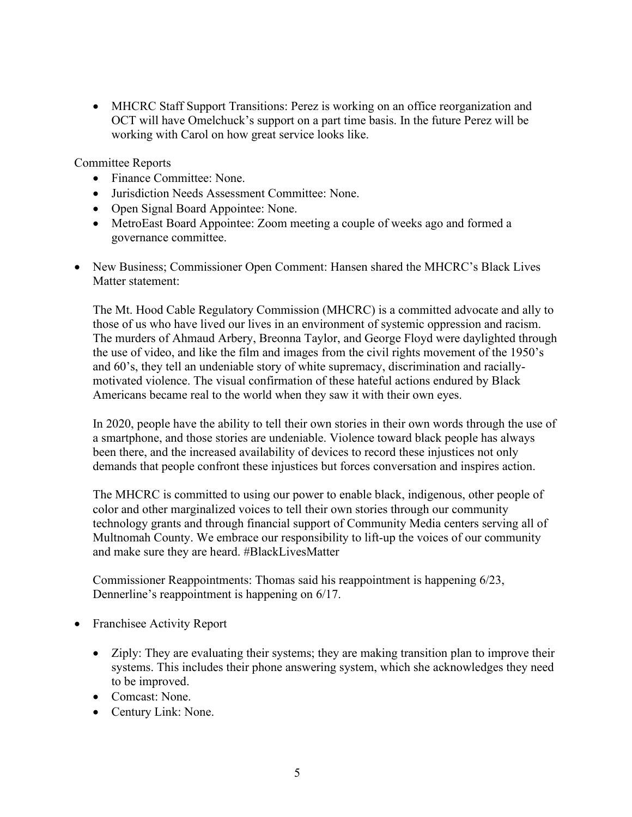• MHCRC Staff Support Transitions: Perez is working on an office reorganization and OCT will have Omelchuck's support on a part time basis. In the future Perez will be working with Carol on how great service looks like.

Committee Reports

- Finance Committee: None.
- Jurisdiction Needs Assessment Committee: None.
- Open Signal Board Appointee: None.
- MetroEast Board Appointee: Zoom meeting a couple of weeks ago and formed a governance committee.
- New Business; Commissioner Open Comment: Hansen shared the MHCRC's Black Lives Matter statement:

The Mt. Hood Cable Regulatory Commission (MHCRC) is a committed advocate and ally to those of us who have lived our lives in an environment of systemic oppression and racism. The murders of Ahmaud Arbery, Breonna Taylor, and George Floyd were daylighted through the use of video, and like the film and images from the civil rights movement of the 1950's and 60's, they tell an undeniable story of white supremacy, discrimination and raciallymotivated violence. The visual confirmation of these hateful actions endured by Black Americans became real to the world when they saw it with their own eyes.

In 2020, people have the ability to tell their own stories in their own words through the use of a smartphone, and those stories are undeniable. Violence toward black people has always been there, and the increased availability of devices to record these injustices not only demands that people confront these injustices but forces conversation and inspires action.

The MHCRC is committed to using our power to enable black, indigenous, other people of color and other marginalized voices to tell their own stories through our community technology grants and through financial support of Community Media centers serving all of Multnomah County. We embrace our responsibility to lift-up the voices of our community and make sure they are heard. #BlackLivesMatter

Commissioner Reappointments: Thomas said his reappointment is happening 6/23, Dennerline's reappointment is happening on 6/17.

- Franchisee Activity Report
	- Ziply: They are evaluating their systems; they are making transition plan to improve their systems. This includes their phone answering system, which she acknowledges they need to be improved.
	- Comcast: None.
	- Century Link: None.